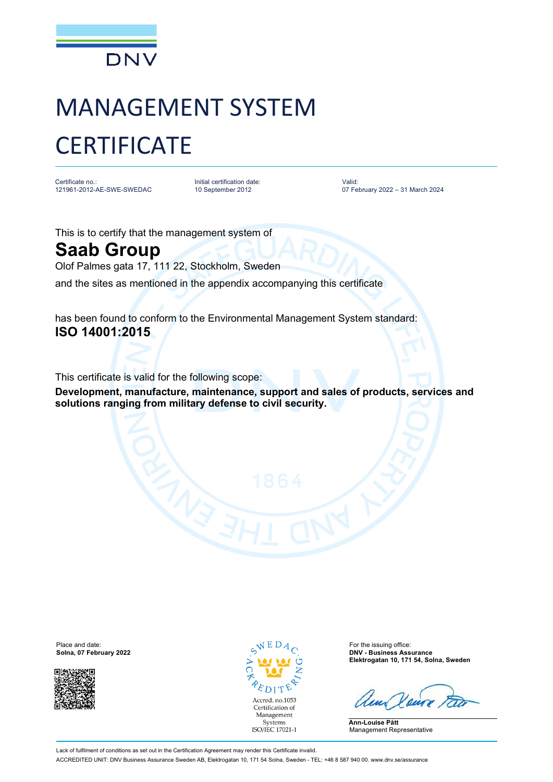

## MANAGEMENT SYSTEM **CERTIFICATE**

Certificate no.: 121961-2012-AE-SWE-SWEDAC

Initial certification date: 10 September 2012

Valid: 07 February 2022 – 31 March 2024

This is to certify that the management system of

## **Saab Group**

Olof Palmes gata 17, 111 22, Stockholm, Sweden

and the sites as mentioned in the appendix accompanying this certificate

has been found to conform to the Environmental Management System standard: **ISO 14001:2015**

This certificate is valid for the following scope:

**Development, manufacture, maintenance, support and sales of products, services and solutions ranging from military defense to civil security.**

Place and date:  $\sqrt{E}D_{A}$  For the issuing office:



Accred. no.1053 Certification of Management Systems ISO/IEC 17021-1

**Solna, 07 February 2022 DNV - Business Assurance Elektrogatan 10, 171 54, Solna, Sweden**

**Ann-Louise Pått** Management Representative

Lack of fulfilment of conditions as set out in the Certification Agreement may render this Certificate invalid. ACCREDITED UNIT: DNV Business Assurance Sweden AB, Elektrogatan 10, 171 54 Solna, Sweden - TEL: +46 8 587 940 00. [www.dnv.se/assurance](http://www.dnv.se/assurance)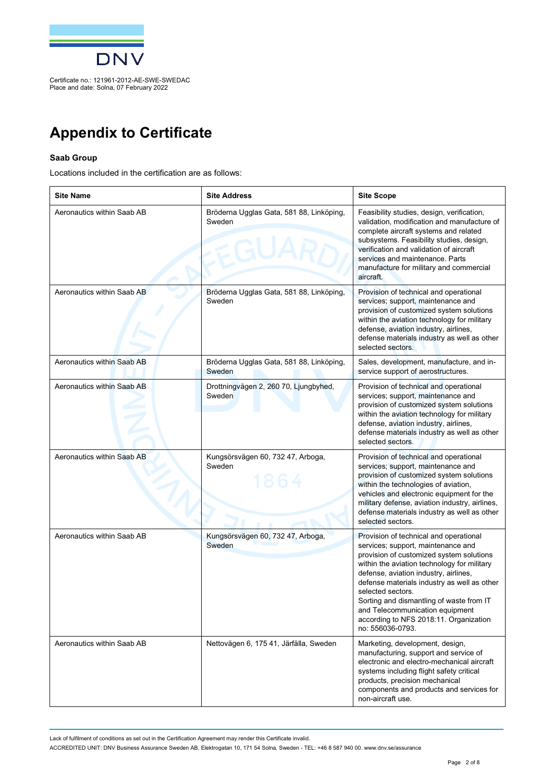

## **Appendix to Certificate**

## **Saab Group**

Locations included in the certification are as follows:

| <b>Site Name</b>           | <b>Site Address</b>                                | <b>Site Scope</b>                                                                                                                                                                                                                                                                                                                                                                                                                 |
|----------------------------|----------------------------------------------------|-----------------------------------------------------------------------------------------------------------------------------------------------------------------------------------------------------------------------------------------------------------------------------------------------------------------------------------------------------------------------------------------------------------------------------------|
| Aeronautics within Saab AB | Bröderna Ugglas Gata, 581 88, Linköping,<br>Sweden | Feasibility studies, design, verification,<br>validation, modification and manufacture of<br>complete aircraft systems and related<br>subsystems. Feasibility studies, design,<br>verification and validation of aircraft<br>services and maintenance. Parts<br>manufacture for military and commercial<br>aircraft.                                                                                                              |
| Aeronautics within Saab AB | Bröderna Ugglas Gata, 581 88, Linköping,<br>Sweden | Provision of technical and operational<br>services; support, maintenance and<br>provision of customized system solutions<br>within the aviation technology for military<br>defense, aviation industry, airlines,<br>defense materials industry as well as other<br>selected sectors.                                                                                                                                              |
| Aeronautics within Saab AB | Bröderna Ugglas Gata, 581 88, Linköping,<br>Sweden | Sales, development, manufacture, and in-<br>service support of aerostructures.                                                                                                                                                                                                                                                                                                                                                    |
| Aeronautics within Saab AB | Drottningvägen 2, 260 70, Ljungbyhed,<br>Sweden    | Provision of technical and operational<br>services; support, maintenance and<br>provision of customized system solutions<br>within the aviation technology for military<br>defense, aviation industry, airlines,<br>defense materials industry as well as other<br>selected sectors.                                                                                                                                              |
| Aeronautics within Saab AB | Kungsörsvägen 60, 732 47, Arboga,<br>Sweden        | Provision of technical and operational<br>services; support, maintenance and<br>provision of customized system solutions<br>within the technologies of aviation,<br>vehicles and electronic equipment for the<br>military defense, aviation industry, airlines,<br>defense materials industry as well as other<br>selected sectors.                                                                                               |
| Aeronautics within Saab AB | Kungsörsvägen 60, 732 47, Arboga,<br>Sweden        | Provision of technical and operational<br>services; support, maintenance and<br>provision of customized system solutions<br>within the aviation technology for military<br>defense, aviation industry, airlines,<br>defense materials industry as well as other<br>selected sectors.<br>Sorting and dismantling of waste from IT<br>and Telecommunication equipment<br>according to NFS 2018:11. Organization<br>no: 556036-0793. |
| Aeronautics within Saab AB | Nettovägen 6, 175 41, Järfälla, Sweden             | Marketing, development, design,<br>manufacturing, support and service of<br>electronic and electro-mechanical aircraft<br>systems including flight safety critical<br>products, precision mechanical<br>components and products and services for<br>non-aircraft use.                                                                                                                                                             |

Lack of fulfilment of conditions as set out in the Certification Agreement may render this Certificate invalid.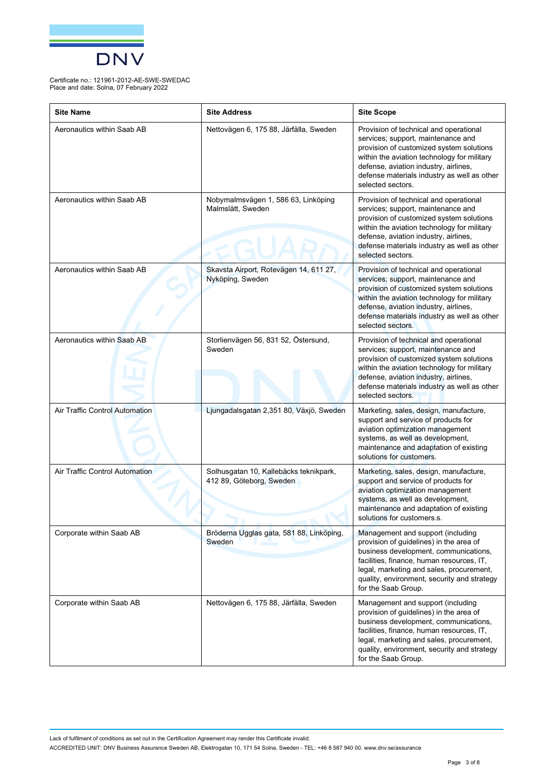

| <b>Site Name</b>                      | <b>Site Address</b>                                                | <b>Site Scope</b>                                                                                                                                                                                                                                                                    |
|---------------------------------------|--------------------------------------------------------------------|--------------------------------------------------------------------------------------------------------------------------------------------------------------------------------------------------------------------------------------------------------------------------------------|
| Aeronautics within Saab AB            | Nettovägen 6, 175 88, Järfälla, Sweden                             | Provision of technical and operational<br>services; support, maintenance and<br>provision of customized system solutions<br>within the aviation technology for military<br>defense, aviation industry, airlines,<br>defense materials industry as well as other<br>selected sectors. |
| Aeronautics within Saab AB            | Nobymalmsvägen 1, 586 63, Linköping<br>Malmslätt, Sweden           | Provision of technical and operational<br>services; support, maintenance and<br>provision of customized system solutions<br>within the aviation technology for military<br>defense, aviation industry, airlines,<br>defense materials industry as well as other<br>selected sectors. |
| Aeronautics within Saab AB            | Skavsta Airport, Rotevägen 14, 611 27,<br>Nyköping, Sweden         | Provision of technical and operational<br>services; support, maintenance and<br>provision of customized system solutions<br>within the aviation technology for military<br>defense, aviation industry, airlines,<br>defense materials industry as well as other<br>selected sectors. |
| Aeronautics within Saab AB            | Storlienvägen 56, 831 52, Östersund,<br>Sweden                     | Provision of technical and operational<br>services; support, maintenance and<br>provision of customized system solutions<br>within the aviation technology for military<br>defense, aviation industry, airlines,<br>defense materials industry as well as other<br>selected sectors. |
| <b>Air Traffic Control Automation</b> | Ljungadalsgatan 2,351 80, Växjö, Sweden                            | Marketing, sales, design, manufacture,<br>support and service of products for<br>aviation optimization management<br>systems, as well as development,<br>maintenance and adaptation of existing<br>solutions for customers.                                                          |
| Air Traffic Control Automation        | Solhusgatan 10, Kallebäcks teknikpark,<br>412 89, Göteborg, Sweden | Marketing, sales, design, manufacture,<br>support and service of products for<br>aviation optimization management<br>systems, as well as development,<br>maintenance and adaptation of existing<br>solutions for customers.s.                                                        |
| Corporate within Saab AB              | Bröderna Ugglas gata, 581 88, Linköping,<br>Sweden                 | Management and support (including<br>provision of guidelines) in the area of<br>business development, communications,<br>facilities, finance, human resources, IT,<br>legal, marketing and sales, procurement,<br>quality, environment, security and strategy<br>for the Saab Group. |
| Corporate within Saab AB              | Nettovägen 6, 175 88, Järfälla, Sweden                             | Management and support (including<br>provision of guidelines) in the area of<br>business development, communications,<br>facilities, finance, human resources, IT,<br>legal, marketing and sales, procurement,<br>quality, environment, security and strategy<br>for the Saab Group. |

Lack of fulfilment of conditions as set out in the Certification Agreement may render this Certificate invalid.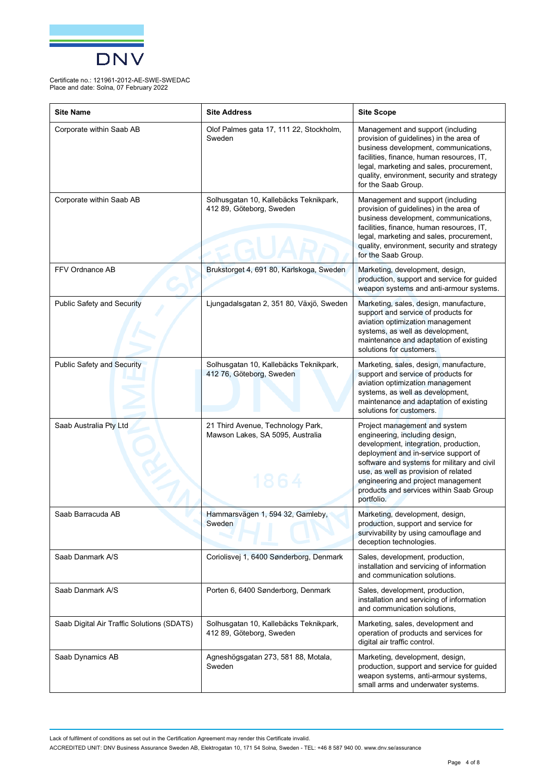

| <b>Site Name</b>                           | <b>Site Address</b>                                                           | <b>Site Scope</b>                                                                                                                                                                                                                                                                                                                      |
|--------------------------------------------|-------------------------------------------------------------------------------|----------------------------------------------------------------------------------------------------------------------------------------------------------------------------------------------------------------------------------------------------------------------------------------------------------------------------------------|
| Corporate within Saab AB                   | Olof Palmes gata 17, 111 22, Stockholm,<br>Sweden                             | Management and support (including<br>provision of guidelines) in the area of<br>business development, communications,<br>facilities, finance, human resources, IT,<br>legal, marketing and sales, procurement,<br>quality, environment, security and strategy<br>for the Saab Group.                                                   |
| Corporate within Saab AB                   | Solhusgatan 10, Kallebäcks Teknikpark,<br>412 89, Göteborg, Sweden            | Management and support (including<br>provision of guidelines) in the area of<br>business development, communications,<br>facilities, finance, human resources, IT,<br>legal, marketing and sales, procurement,<br>quality, environment, security and strategy<br>for the Saab Group.                                                   |
| FFV Ordnance AB                            | Brukstorget 4, 691 80, Karlskoga, Sweden                                      | Marketing, development, design,<br>production, support and service for guided<br>weapon systems and anti-armour systems.                                                                                                                                                                                                               |
| <b>Public Safety and Security</b>          | Ljungadalsgatan 2, 351 80, Växjö, Sweden                                      | Marketing, sales, design, manufacture,<br>support and service of products for<br>aviation optimization management<br>systems, as well as development,<br>maintenance and adaptation of existing<br>solutions for customers.                                                                                                            |
| <b>Public Safety and Security</b>          | Solhusgatan 10, Kallebäcks Teknikpark,<br>412 76, Göteborg, Sweden            | Marketing, sales, design, manufacture,<br>support and service of products for<br>aviation optimization management<br>systems, as well as development,<br>maintenance and adaptation of existing<br>solutions for customers.                                                                                                            |
| Saab Australia Pty Ltd                     | 21 Third Avenue, Technology Park,<br>Mawson Lakes, SA 5095, Australia<br>1864 | Project management and system<br>engineering, including design,<br>development, integration, production,<br>deployment and in-service support of<br>software and systems for military and civil<br>use, as well as provision of related<br>engineering and project management<br>products and services within Saab Group<br>portfolio. |
| Saab Barracuda AB                          | Hammarsvägen 1, 594 32, Gamleby,<br>Sweden                                    | Marketing, development, design,<br>production, support and service for<br>survivability by using camouflage and<br>deception technologies.                                                                                                                                                                                             |
| Saab Danmark A/S                           | Coriolisvej 1, 6400 Sønderborg, Denmark                                       | Sales, development, production,<br>installation and servicing of information<br>and communication solutions.                                                                                                                                                                                                                           |
| Saab Danmark A/S                           | Porten 6, 6400 Sønderborg, Denmark                                            | Sales, development, production,<br>installation and servicing of information<br>and communication solutions,                                                                                                                                                                                                                           |
| Saab Digital Air Traffic Solutions (SDATS) | Solhusgatan 10, Kallebäcks Teknikpark,<br>412 89, Göteborg, Sweden            | Marketing, sales, development and<br>operation of products and services for<br>digital air traffic control.                                                                                                                                                                                                                            |
| Saab Dynamics AB                           | Agneshögsgatan 273, 581 88, Motala,<br>Sweden                                 | Marketing, development, design,<br>production, support and service for guided<br>weapon systems, anti-armour systems,<br>small arms and underwater systems.                                                                                                                                                                            |

Lack of fulfilment of conditions as set out in the Certification Agreement may render this Certificate invalid.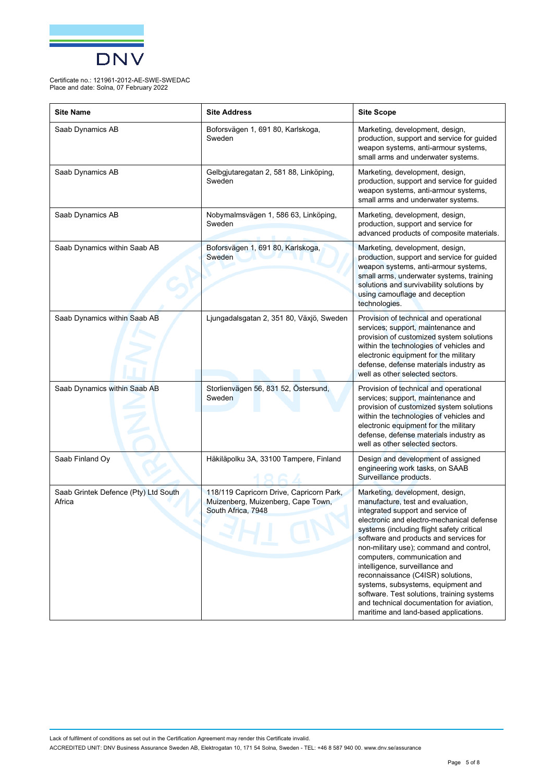

| <b>Site Name</b>                               | <b>Site Address</b>                                                                                  | <b>Site Scope</b>                                                                                                                                                                                                                                                                                                                                                                                                                                                                                                                                                         |
|------------------------------------------------|------------------------------------------------------------------------------------------------------|---------------------------------------------------------------------------------------------------------------------------------------------------------------------------------------------------------------------------------------------------------------------------------------------------------------------------------------------------------------------------------------------------------------------------------------------------------------------------------------------------------------------------------------------------------------------------|
| Saab Dynamics AB                               | Boforsvägen 1, 691 80, Karlskoga,<br>Sweden                                                          | Marketing, development, design,<br>production, support and service for guided<br>weapon systems, anti-armour systems,<br>small arms and underwater systems.                                                                                                                                                                                                                                                                                                                                                                                                               |
| Saab Dynamics AB                               | Gelbgjutaregatan 2, 581 88, Linköping,<br>Sweden                                                     | Marketing, development, design,<br>production, support and service for guided<br>weapon systems, anti-armour systems,<br>small arms and underwater systems.                                                                                                                                                                                                                                                                                                                                                                                                               |
| Saab Dynamics AB                               | Nobymalmsvägen 1, 586 63, Linköping,<br>Sweden                                                       | Marketing, development, design,<br>production, support and service for<br>advanced products of composite materials.                                                                                                                                                                                                                                                                                                                                                                                                                                                       |
| Saab Dynamics within Saab AB                   | Boforsvägen 1, 691 80, Karlskoga,<br>Sweden                                                          | Marketing, development, design,<br>production, support and service for guided<br>weapon systems, anti-armour systems,<br>small arms, underwater systems, training<br>solutions and survivability solutions by<br>using camouflage and deception<br>technologies.                                                                                                                                                                                                                                                                                                          |
| Saab Dynamics within Saab AB                   | Ljungadalsgatan 2, 351 80, Växjö, Sweden                                                             | Provision of technical and operational<br>services; support, maintenance and<br>provision of customized system solutions<br>within the technologies of vehicles and<br>electronic equipment for the military<br>defense, defense materials industry as<br>well as other selected sectors.                                                                                                                                                                                                                                                                                 |
| Saab Dynamics within Saab AB                   | Storlienvägen 56, 831 52, Östersund,<br>Sweden                                                       | Provision of technical and operational<br>services; support, maintenance and<br>provision of customized system solutions<br>within the technologies of vehicles and<br>electronic equipment for the military<br>defense, defense materials industry as<br>well as other selected sectors.                                                                                                                                                                                                                                                                                 |
| Saab Finland Oy                                | Häkiläpolku 3A, 33100 Tampere, Finland                                                               | Design and development of assigned<br>engineering work tasks, on SAAB<br>Surveillance products.                                                                                                                                                                                                                                                                                                                                                                                                                                                                           |
| Saab Grintek Defence (Pty) Ltd South<br>Africa | 118/119 Capricorn Drive, Capricorn Park,<br>Muizenberg, Muizenberg, Cape Town,<br>South Africa, 7948 | Marketing, development, design,<br>manufacture, test and evaluation,<br>integrated support and service of<br>electronic and electro-mechanical defense<br>systems (including flight safety critical<br>software and products and services for<br>non-military use); command and control,<br>computers, communication and<br>intelligence, surveillance and<br>reconnaissance (C4ISR) solutions,<br>systems, subsystems, equipment and<br>software. Test solutions, training systems<br>and technical documentation for aviation,<br>maritime and land-based applications. |

Lack of fulfilment of conditions as set out in the Certification Agreement may render this Certificate invalid. ACCREDITED UNIT: DNV Business Assurance Sweden AB, Elektrogatan 10, 171 54 Solna, Sweden - TEL: +46 8 587 940 00. [www.dnv.se/assurance](http://www.dnv.se/assurance)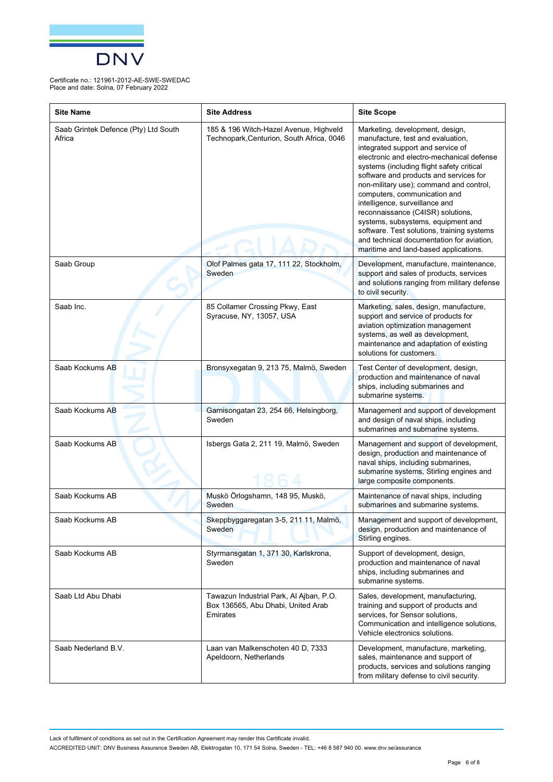

| <b>Site Name</b>                               | <b>Site Address</b>                                                                       | <b>Site Scope</b>                                                                                                                                                                                                                                                                                                                                                                                                                                                                                                                                                         |
|------------------------------------------------|-------------------------------------------------------------------------------------------|---------------------------------------------------------------------------------------------------------------------------------------------------------------------------------------------------------------------------------------------------------------------------------------------------------------------------------------------------------------------------------------------------------------------------------------------------------------------------------------------------------------------------------------------------------------------------|
| Saab Grintek Defence (Pty) Ltd South<br>Africa | 185 & 196 Witch-Hazel Avenue, Highveld<br>Technopark, Centurion, South Africa, 0046       | Marketing, development, design,<br>manufacture, test and evaluation,<br>integrated support and service of<br>electronic and electro-mechanical defense<br>systems (including flight safety critical<br>software and products and services for<br>non-military use); command and control,<br>computers, communication and<br>intelligence, surveillance and<br>reconnaissance (C4ISR) solutions,<br>systems, subsystems, equipment and<br>software. Test solutions, training systems<br>and technical documentation for aviation,<br>maritime and land-based applications. |
| Saab Group                                     | Olof Palmes gata 17, 111 22, Stockholm,<br>Sweden                                         | Development, manufacture, maintenance,<br>support and sales of products, services<br>and solutions ranging from military defense<br>to civil security.                                                                                                                                                                                                                                                                                                                                                                                                                    |
| Saab Inc.                                      | 85 Collamer Crossing Pkwy, East<br>Syracuse, NY, 13057, USA                               | Marketing, sales, design, manufacture,<br>support and service of products for<br>aviation optimization management<br>systems, as well as development,<br>maintenance and adaptation of existing<br>solutions for customers.                                                                                                                                                                                                                                                                                                                                               |
| Saab Kockums AB                                | Bronsyxegatan 9, 213 75, Malmö, Sweden                                                    | Test Center of development, design,<br>production and maintenance of naval<br>ships, including submarines and<br>submarine systems.                                                                                                                                                                                                                                                                                                                                                                                                                                       |
| Saab Kockums AB                                | Garnisongatan 23, 254 66, Helsingborg,<br>Sweden                                          | Management and support of development<br>and design of naval ships, including<br>submarines and submarine systems.                                                                                                                                                                                                                                                                                                                                                                                                                                                        |
| Saab Kockums AB                                | Isbergs Gata 2, 211 19, Malmö, Sweden                                                     | Management and support of development,<br>design, production and maintenance of<br>naval ships, including submarines,<br>submarine systems, Stirling engines and<br>large composite components.                                                                                                                                                                                                                                                                                                                                                                           |
| Saab Kockums AB                                | Muskö Örlogshamn, 148 95, Muskö,<br>Sweden                                                | Maintenance of naval ships, including<br>submarines and submarine systems.                                                                                                                                                                                                                                                                                                                                                                                                                                                                                                |
| Saab Kockums AB                                | Skeppbyggaregatan 3-5, 211 11, Malmö,<br>Sweden                                           | Management and support of development,<br>design, production and maintenance of<br>Stirling engines.                                                                                                                                                                                                                                                                                                                                                                                                                                                                      |
| Saab Kockums AB                                | Styrmansgatan 1, 371 30, Karlskrona,<br>Sweden                                            | Support of development, design,<br>production and maintenance of naval<br>ships, including submarines and<br>submarine systems.                                                                                                                                                                                                                                                                                                                                                                                                                                           |
| Saab Ltd Abu Dhabi                             | Tawazun Industrial Park, Al Ajban, P.O.<br>Box 136565, Abu Dhabi, United Arab<br>Emirates | Sales, development, manufacturing,<br>training and support of products and<br>services, for Sensor solutions,<br>Communication and intelligence solutions,<br>Vehicle electronics solutions.                                                                                                                                                                                                                                                                                                                                                                              |
| Saab Nederland B.V.                            | Laan van Malkenschoten 40 D, 7333<br>Apeldoorn, Netherlands                               | Development, manufacture, marketing,<br>sales, maintenance and support of<br>products, services and solutions ranging<br>from military defense to civil security.                                                                                                                                                                                                                                                                                                                                                                                                         |

Lack of fulfilment of conditions as set out in the Certification Agreement may render this Certificate invalid.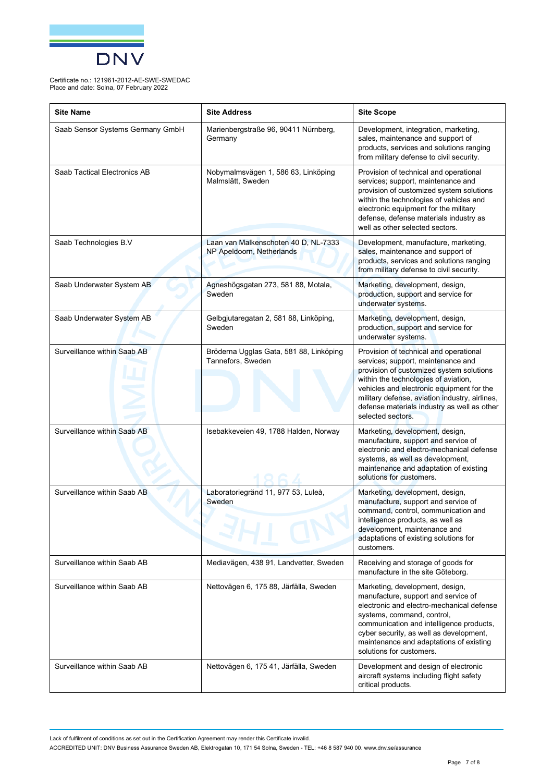

| <b>Site Name</b>                 | <b>Site Address</b>                                               | <b>Site Scope</b>                                                                                                                                                                                                                                                                                                                   |
|----------------------------------|-------------------------------------------------------------------|-------------------------------------------------------------------------------------------------------------------------------------------------------------------------------------------------------------------------------------------------------------------------------------------------------------------------------------|
| Saab Sensor Systems Germany GmbH | Marienbergstraße 96, 90411 Nürnberg,<br>Germany                   | Development, integration, marketing,<br>sales, maintenance and support of<br>products, services and solutions ranging<br>from military defense to civil security.                                                                                                                                                                   |
| Saab Tactical Electronics AB     | Nobymalmsvägen 1, 586 63, Linköping<br>Malmslätt, Sweden          | Provision of technical and operational<br>services; support, maintenance and<br>provision of customized system solutions<br>within the technologies of vehicles and<br>electronic equipment for the military<br>defense, defense materials industry as<br>well as other selected sectors.                                           |
| Saab Technologies B.V            | Laan van Malkenschoten 40 D, NL-7333<br>NP Apeldoorn, Netherlands | Development, manufacture, marketing,<br>sales, maintenance and support of<br>products, services and solutions ranging<br>from military defense to civil security.                                                                                                                                                                   |
| Saab Underwater System AB        | Agneshögsgatan 273, 581 88, Motala,<br>Sweden                     | Marketing, development, design,<br>production, support and service for<br>underwater systems.                                                                                                                                                                                                                                       |
| Saab Underwater System AB        | Gelbgjutaregatan 2, 581 88, Linköping,<br>Sweden                  | Marketing, development, design,<br>production, support and service for<br>underwater systems.                                                                                                                                                                                                                                       |
| Surveillance within Saab AB      | Bröderna Ugglas Gata, 581 88, Linköping<br>Tannefors, Sweden      | Provision of technical and operational<br>services; support, maintenance and<br>provision of customized system solutions<br>within the technologies of aviation,<br>vehicles and electronic equipment for the<br>military defense, aviation industry, airlines,<br>defense materials industry as well as other<br>selected sectors. |
| Surveillance within Saab AB      | Isebakkeveien 49, 1788 Halden, Norway                             | Marketing, development, design,<br>manufacture, support and service of<br>electronic and electro-mechanical defense<br>systems, as well as development,<br>maintenance and adaptation of existing<br>solutions for customers.                                                                                                       |
| Surveillance within Saab AB      | Laboratoriegränd 11, 977 53, Luleå,<br>Sweden                     | Marketing, development, design,<br>manufacture, support and service of<br>command, control, communication and<br>intelligence products, as well as<br>development, maintenance and<br>adaptations of existing solutions for<br>customers.                                                                                           |
| Surveillance within Saab AB      | Mediavägen, 438 91, Landvetter, Sweden                            | Receiving and storage of goods for<br>manufacture in the site Göteborg.                                                                                                                                                                                                                                                             |
| Surveillance within Saab AB      | Nettovägen 6, 175 88, Järfälla, Sweden                            | Marketing, development, design,<br>manufacture, support and service of<br>electronic and electro-mechanical defense<br>systems, command, control,<br>communication and intelligence products,<br>cyber security, as well as development,<br>maintenance and adaptations of existing<br>solutions for customers.                     |
| Surveillance within Saab AB      | Nettovägen 6, 175 41, Järfälla, Sweden                            | Development and design of electronic<br>aircraft systems including flight safety<br>critical products.                                                                                                                                                                                                                              |

Lack of fulfilment of conditions as set out in the Certification Agreement may render this Certificate invalid.